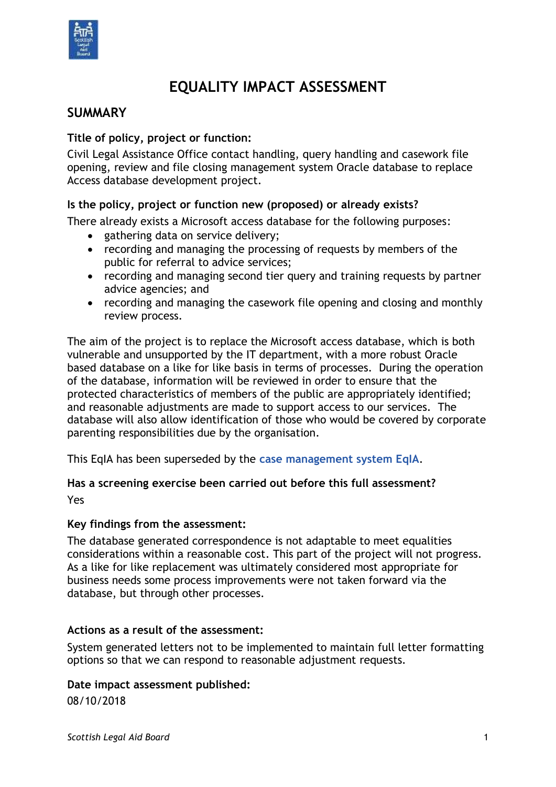

# **EQUALITY IMPACT ASSESSMENT**

# **SUMMARY**

#### **Title of policy, project or function:**

Civil Legal Assistance Office contact handling, query handling and casework file opening, review and file closing management system Oracle database to replace Access database development project.

#### **Is the policy, project or function new (proposed) or already exists?**

There already exists a Microsoft access database for the following purposes:

- gathering data on service delivery;
- recording and managing the processing of requests by members of the public for referral to advice services;
- recording and managing second tier query and training requests by partner advice agencies; and
- recording and managing the casework file opening and closing and monthly review process.

The aim of the project is to replace the Microsoft access database, which is both vulnerable and unsupported by the IT department, with a more robust Oracle based database on a like for like basis in terms of processes. During the operation of the database, information will be reviewed in order to ensure that the protected characteristics of members of the public are appropriately identified; and reasonable adjustments are made to support access to our services. The database will also allow identification of those who would be covered by corporate parenting responsibilities due by the organisation.

This EqIA has been superseded by the **[case management system EqIA](https://www.slab.org.uk/app/uploads/2020/08/Direct-Services-EqIA.pdf)**.

# **Has a screening exercise been carried out before this full assessment?**

Yes

#### **Key findings from the assessment:**

The database generated correspondence is not adaptable to meet equalities considerations within a reasonable cost. This part of the project will not progress. As a like for like replacement was ultimately considered most appropriate for business needs some process improvements were not taken forward via the database, but through other processes.

#### **Actions as a result of the assessment:**

System generated letters not to be implemented to maintain full letter formatting options so that we can respond to reasonable adjustment requests.

#### **Date impact assessment published:**

08/10/2018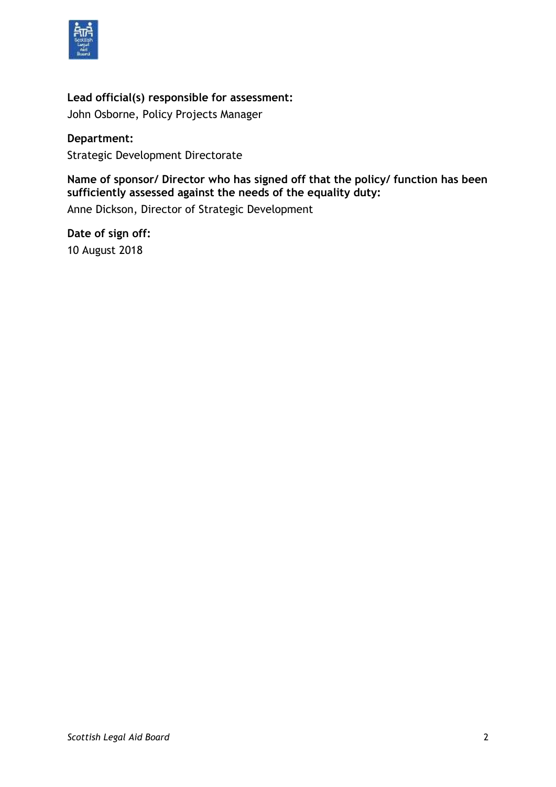

#### **Lead official(s) responsible for assessment:**

John Osborne, Policy Projects Manager

**Department:** Strategic Development Directorate

**Name of sponsor/ Director who has signed off that the policy/ function has been sufficiently assessed against the needs of the equality duty:** Anne Dickson, Director of Strategic Development

**Date of sign off:** 10 August 2018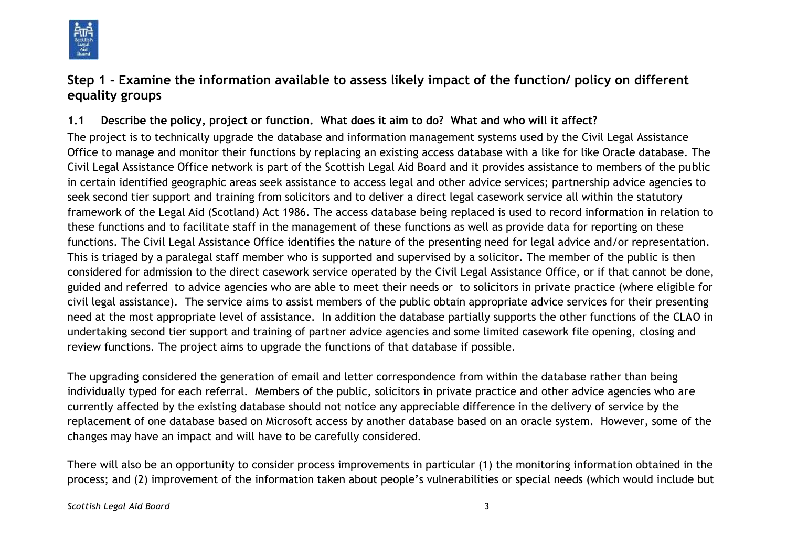

# **Step 1 - Examine the information available to assess likely impact of the function/ policy on different equality groups**

### **1.1 Describe the policy, project or function. What does it aim to do? What and who will it affect?**

The project is to technically upgrade the database and information management systems used by the Civil Legal Assistance Office to manage and monitor their functions by replacing an existing access database with a like for like Oracle database. The Civil Legal Assistance Office network is part of the Scottish Legal Aid Board and it provides assistance to members of the public in certain identified geographic areas seek assistance to access legal and other advice services; partnership advice agencies to seek second tier support and training from solicitors and to deliver a direct legal casework service all within the statutory framework of the Legal Aid (Scotland) Act 1986. The access database being replaced is used to record information in relation to these functions and to facilitate staff in the management of these functions as well as provide data for reporting on these functions. The Civil Legal Assistance Office identifies the nature of the presenting need for legal advice and/or representation. This is triaged by a paralegal staff member who is supported and supervised by a solicitor. The member of the public is then considered for admission to the direct casework service operated by the Civil Legal Assistance Office, or if that cannot be done, guided and referred to advice agencies who are able to meet their needs or to solicitors in private practice (where eligible for civil legal assistance). The service aims to assist members of the public obtain appropriate advice services for their presenting need at the most appropriate level of assistance. In addition the database partially supports the other functions of the CLAO in undertaking second tier support and training of partner advice agencies and some limited casework file opening, closing and review functions. The project aims to upgrade the functions of that database if possible.

The upgrading considered the generation of email and letter correspondence from within the database rather than being individually typed for each referral. Members of the public, solicitors in private practice and other advice agencies who are currently affected by the existing database should not notice any appreciable difference in the delivery of service by the replacement of one database based on Microsoft access by another database based on an oracle system. However, some of the changes may have an impact and will have to be carefully considered.

There will also be an opportunity to consider process improvements in particular (1) the monitoring information obtained in the process; and (2) improvement of the information taken about people's vulnerabilities or special needs (which would include but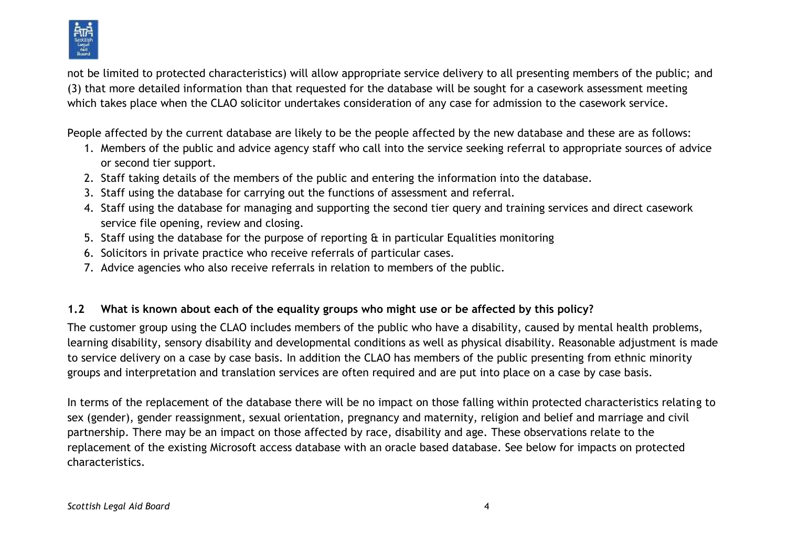

not be limited to protected characteristics) will allow appropriate service delivery to all presenting members of the public; and (3) that more detailed information than that requested for the database will be sought for a casework assessment meeting which takes place when the CLAO solicitor undertakes consideration of any case for admission to the casework service.

People affected by the current database are likely to be the people affected by the new database and these are as follows:

- 1. Members of the public and advice agency staff who call into the service seeking referral to appropriate sources of advice or second tier support.
- 2. Staff taking details of the members of the public and entering the information into the database.
- 3. Staff using the database for carrying out the functions of assessment and referral.
- 4. Staff using the database for managing and supporting the second tier query and training services and direct casework service file opening, review and closing.
- 5. Staff using the database for the purpose of reporting & in particular Equalities monitoring
- 6. Solicitors in private practice who receive referrals of particular cases.
- 7. Advice agencies who also receive referrals in relation to members of the public.

# **1.2 What is known about each of the equality groups who might use or be affected by this policy?**

The customer group using the CLAO includes members of the public who have a disability, caused by mental health problems, learning disability, sensory disability and developmental conditions as well as physical disability. Reasonable adjustment is made to service delivery on a case by case basis. In addition the CLAO has members of the public presenting from ethnic minority groups and interpretation and translation services are often required and are put into place on a case by case basis.

In terms of the replacement of the database there will be no impact on those falling within protected characteristics relating to sex (gender), gender reassignment, sexual orientation, pregnancy and maternity, religion and belief and marriage and civil partnership. There may be an impact on those affected by race, disability and age. These observations relate to the replacement of the existing Microsoft access database with an oracle based database. See below for impacts on protected characteristics.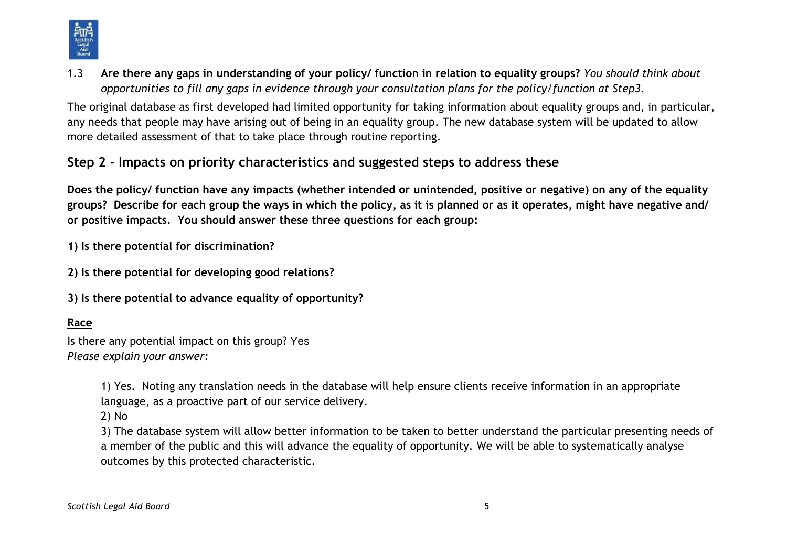

1.3 **Are there any gaps in understanding of your policy/ function in relation to equality groups?** *You should think about opportunities to fill any gaps in evidence through your consultation plans for the policy/function at Step3.*

The original database as first developed had limited opportunity for taking information about equality groups and, in particular, any needs that people may have arising out of being in an equality group. The new database system will be updated to allow more detailed assessment of that to take place through routine reporting.

# **Step 2 - Impacts on priority characteristics and suggested steps to address these**

**Does the policy/ function have any impacts (whether intended or unintended, positive or negative) on any of the equality groups? Describe for each group the ways in which the policy, as it is planned or as it operates, might have negative and/ or positive impacts. You should answer these three questions for each group:** 

**1) Is there potential for discrimination?** 

- **2) Is there potential for developing good relations?**
- **3) Is there potential to advance equality of opportunity?**

# **Race**

Is there any potential impact on this group? Yes *Please explain your answer:*

> 1) Yes. Noting any translation needs in the database will help ensure clients receive information in an appropriate language, as a proactive part of our service delivery.

2) No

3) The database system will allow better information to be taken to better understand the particular presenting needs of a member of the public and this will advance the equality of opportunity. We will be able to systematically analyse outcomes by this protected characteristic.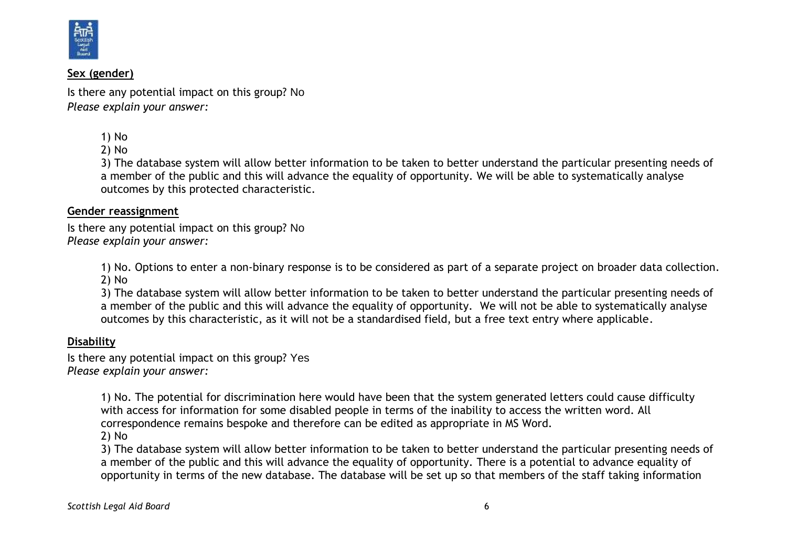

#### **Sex (gender)**

Is there any potential impact on this group? No *Please explain your answer:*

1) No

2) No

3) The database system will allow better information to be taken to better understand the particular presenting needs of a member of the public and this will advance the equality of opportunity. We will be able to systematically analyse outcomes by this protected characteristic.

#### **Gender reassignment**

Is there any potential impact on this group? No *Please explain your answer:*

> 1) No. Options to enter a non-binary response is to be considered as part of a separate project on broader data collection. 2) No

3) The database system will allow better information to be taken to better understand the particular presenting needs of a member of the public and this will advance the equality of opportunity. We will not be able to systematically analyse outcomes by this characteristic, as it will not be a standardised field, but a free text entry where applicable.

#### **Disability**

Is there any potential impact on this group? Yes *Please explain your answer:*

> 1) No. The potential for discrimination here would have been that the system generated letters could cause difficulty with access for information for some disabled people in terms of the inability to access the written word. All correspondence remains bespoke and therefore can be edited as appropriate in MS Word.

2) No

3) The database system will allow better information to be taken to better understand the particular presenting needs of a member of the public and this will advance the equality of opportunity. There is a potential to advance equality of opportunity in terms of the new database. The database will be set up so that members of the staff taking information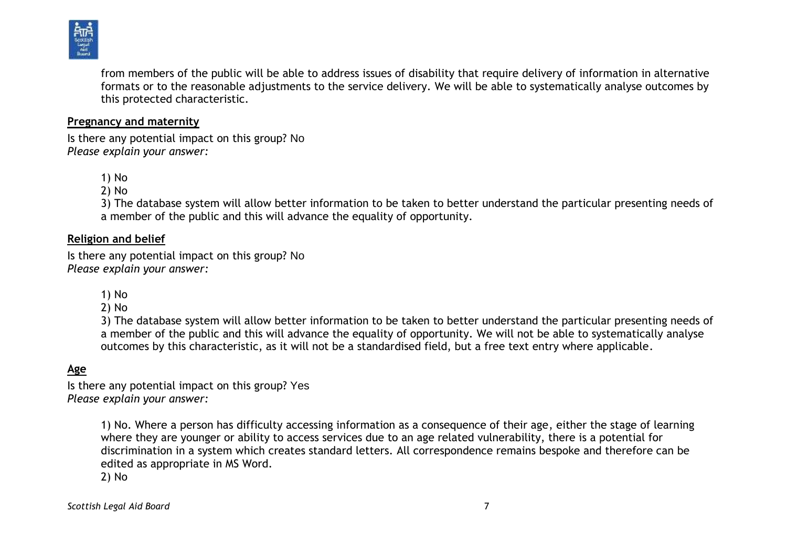

from members of the public will be able to address issues of disability that require delivery of information in alternative formats or to the reasonable adjustments to the service delivery. We will be able to systematically analyse outcomes by this protected characteristic.

#### **Pregnancy and maternity**

Is there any potential impact on this group? No *Please explain your answer:*

1) No

2) No

3) The database system will allow better information to be taken to better understand the particular presenting needs of a member of the public and this will advance the equality of opportunity.

#### **Religion and belief**

Is there any potential impact on this group? No *Please explain your answer:*

1) No

2) No

3) The database system will allow better information to be taken to better understand the particular presenting needs of a member of the public and this will advance the equality of opportunity. We will not be able to systematically analyse outcomes by this characteristic, as it will not be a standardised field, but a free text entry where applicable.

#### **Age**

Is there any potential impact on this group? Yes *Please explain your answer:*

> 1) No. Where a person has difficulty accessing information as a consequence of their age, either the stage of learning where they are younger or ability to access services due to an age related vulnerability, there is a potential for discrimination in a system which creates standard letters. All correspondence remains bespoke and therefore can be edited as appropriate in MS Word.

2) No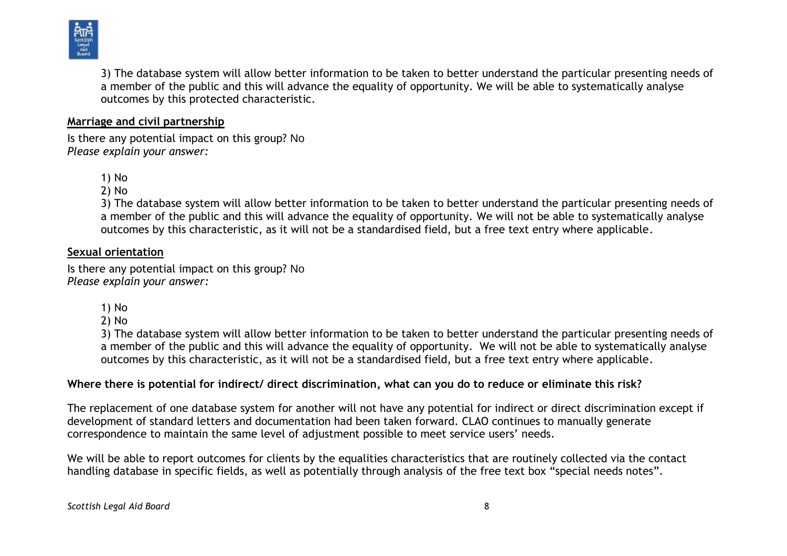

3) The database system will allow better information to be taken to better understand the particular presenting needs of a member of the public and this will advance the equality of opportunity. We will be able to systematically analyse outcomes by this protected characteristic.

#### **Marriage and civil partnership**

Is there any potential impact on this group? No *Please explain your answer:*

1) No

2) No

3) The database system will allow better information to be taken to better understand the particular presenting needs of a member of the public and this will advance the equality of opportunity. We will not be able to systematically analyse outcomes by this characteristic, as it will not be a standardised field, but a free text entry where applicable.

#### **Sexual orientation**

Is there any potential impact on this group? No *Please explain your answer:*

- 1) No
- 2) No

3) The database system will allow better information to be taken to better understand the particular presenting needs of a member of the public and this will advance the equality of opportunity. We will not be able to systematically analyse outcomes by this characteristic, as it will not be a standardised field, but a free text entry where applicable.

#### **Where there is potential for indirect/ direct discrimination, what can you do to reduce or eliminate this risk?**

The replacement of one database system for another will not have any potential for indirect or direct discrimination except if development of standard letters and documentation had been taken forward. CLAO continues to manually generate correspondence to maintain the same level of adjustment possible to meet service users' needs.

We will be able to report outcomes for clients by the equalities characteristics that are routinely collected via the contact handling database in specific fields, as well as potentially through analysis of the free text box "special needs notes".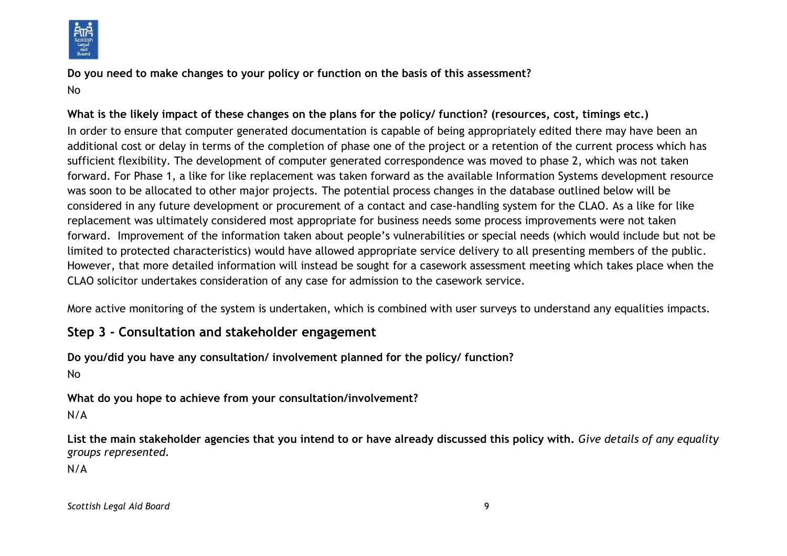

**Do you need to make changes to your policy or function on the basis of this assessment?** No

**What is the likely impact of these changes on the plans for the policy/ function? (resources, cost, timings etc.)** In order to ensure that computer generated documentation is capable of being appropriately edited there may have been an additional cost or delay in terms of the completion of phase one of the project or a retention of the current process which has sufficient flexibility. The development of computer generated correspondence was moved to phase 2, which was not taken forward. For Phase 1, a like for like replacement was taken forward as the available Information Systems development resource was soon to be allocated to other major projects. The potential process changes in the database outlined below will be considered in any future development or procurement of a contact and case-handling system for the CLAO. As a like for like replacement was ultimately considered most appropriate for business needs some process improvements were not taken forward. Improvement of the information taken about people's vulnerabilities or special needs (which would include but not be limited to protected characteristics) would have allowed appropriate service delivery to all presenting members of the public. However, that more detailed information will instead be sought for a casework assessment meeting which takes place when the CLAO solicitor undertakes consideration of any case for admission to the casework service.

More active monitoring of the system is undertaken, which is combined with user surveys to understand any equalities impacts.

# **Step 3 - Consultation and stakeholder engagement**

**Do you/did you have any consultation/ involvement planned for the policy/ function?** No

**What do you hope to achieve from your consultation/involvement?**

N/A

**List the main stakeholder agencies that you intend to or have already discussed this policy with.** *Give details of any equality groups represented.*

N/A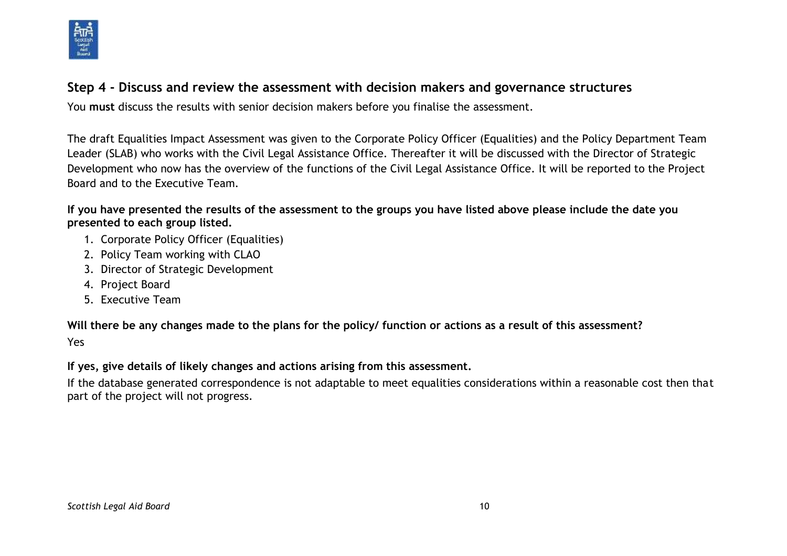

# **Step 4 - Discuss and review the assessment with decision makers and governance structures**

You **must** discuss the results with senior decision makers before you finalise the assessment.

The draft Equalities Impact Assessment was given to the Corporate Policy Officer (Equalities) and the Policy Department Team Leader (SLAB) who works with the Civil Legal Assistance Office. Thereafter it will be discussed with the Director of Strategic Development who now has the overview of the functions of the Civil Legal Assistance Office. It will be reported to the Project Board and to the Executive Team.

**If you have presented the results of the assessment to the groups you have listed above please include the date you presented to each group listed.**

- 1. Corporate Policy Officer (Equalities)
- 2. Policy Team working with CLAO
- 3. Director of Strategic Development
- 4. Project Board
- 5. Executive Team

**Will there be any changes made to the plans for the policy/ function or actions as a result of this assessment?**

Yes

**If yes, give details of likely changes and actions arising from this assessment.**

If the database generated correspondence is not adaptable to meet equalities considerations within a reasonable cost then that part of the project will not progress.